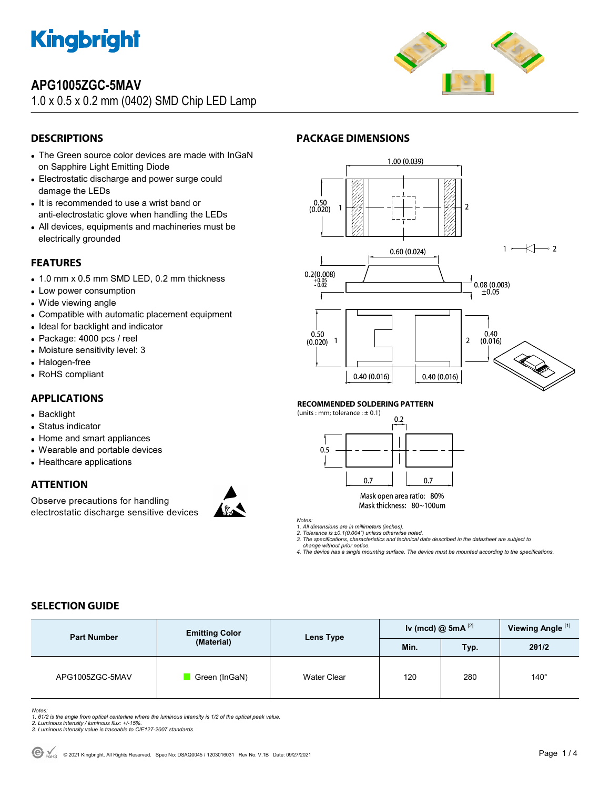

# **APG1005ZGC-5MAV**

1.0 x 0.5 x 0.2 mm (0402) SMD Chip LED Lamp



## **DESCRIPTIONS**

- The Green source color devices are made with InGaN on Sapphire Light Emitting Diode
- Electrostatic discharge and power surge could damage the LEDs
- It is recommended to use a wrist band or anti-electrostatic glove when handling the LEDs
- All devices, equipments and machineries must be electrically grounded

### **FEATURES**

- 1.0 mm x 0.5 mm SMD LED, 0.2 mm thickness
- Low power consumption
- Wide viewing angle
- Compatible with automatic placement equipment
- Ideal for backlight and indicator
- Package: 4000 pcs / reel
- Moisture sensitivity level: 3
- Halogen-free
- RoHS compliant

### **APPLICATIONS**

- Backlight
- Status indicator
- Home and smart appliances
- Wearable and portable devices
- Healthcare applications

## **ATTENTION**

Observe precautions for handling electrostatic discharge sensitive devices





#### **RECOMMENDED SOLDERING PATTERN**

**PACKAGE DIMENSIONS** 



Mask open area ratio: 80% Mask thickness: 80~100um

*Notes: 1. All dimensions are in millimeters (inches). 2. Tolerance is ±0.1(0.004") unless otherwise noted.* 

*3. The specifications, characteristics and technical data described in the datasheet are subject to* 

 *change without prior notice. 4. The device has a single mounting surface. The device must be mounted according to the specifications.* 

## **SELECTION GUIDE**

| <b>Part Number</b> | <b>Emitting Color</b><br>(Material) | Lens Type          | Iv (mcd) @ 5mA $^{[2]}$ |      | Viewing Angle <sup>[1]</sup> |
|--------------------|-------------------------------------|--------------------|-------------------------|------|------------------------------|
|                    |                                     |                    | Min.                    | Typ. | 201/2                        |
| APG1005ZGC-5MAV    | Green (InGaN)                       | <b>Water Clear</b> | 120                     | 280  | $140^\circ$                  |

Notes:<br>1. 81/2 is the angle from optical centerline where the luminous intensity is 1/2 of the optical peak value.<br>2. Luminous intensity / luminous flux: +/-15%.<br>3. Luminous intensity value is traceable to CIE127-2007 stan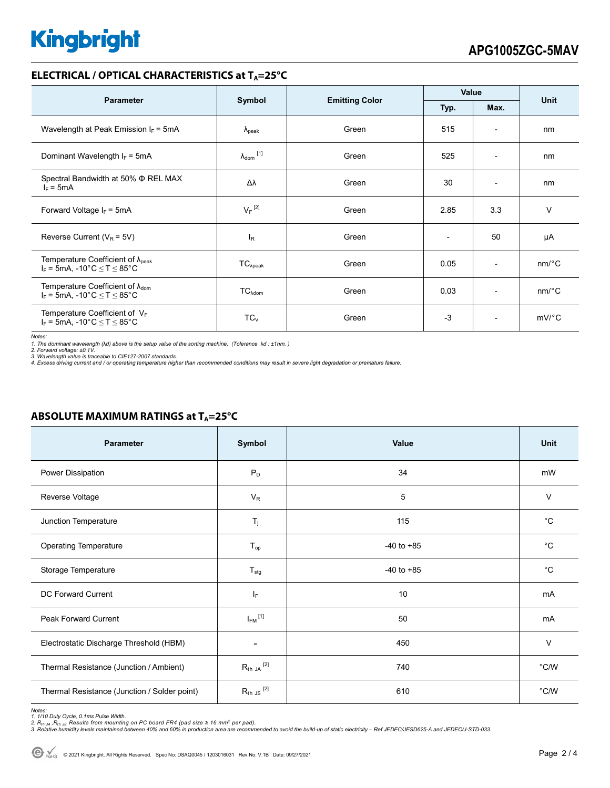# **Kingbright**

### **ELECTRICAL / OPTICAL CHARACTERISTICS at T<sub>A</sub>=25°C**

| <b>Parameter</b>                                                                             | Symbol                         | <b>Emitting Color</b> | Value                    |                          | <b>Unit</b>           |
|----------------------------------------------------------------------------------------------|--------------------------------|-----------------------|--------------------------|--------------------------|-----------------------|
|                                                                                              |                                |                       | Typ.                     | Max.                     |                       |
| Wavelength at Peak Emission $I_F = 5mA$                                                      | $\lambda_{\rm peak}$           | Green                 | 515                      | $\overline{\phantom{a}}$ | nm                    |
| Dominant Wavelength $I_F = 5mA$                                                              | $\lambda_{dom}$ <sup>[1]</sup> | Green                 | 525                      | $\overline{\phantom{a}}$ | nm                    |
| Spectral Bandwidth at 50% $\Phi$ REL MAX<br>$I_F = 5mA$                                      | Δλ                             | Green                 | 30                       | $\overline{\phantom{0}}$ | nm                    |
| Forward Voltage $I_F$ = 5mA                                                                  | $V_F$ <sup>[2]</sup>           | Green                 | 2.85                     | 3.3                      | $\vee$                |
| Reverse Current ( $V_R$ = 5V)                                                                | l <sub>R</sub>                 | Green                 | $\overline{\phantom{a}}$ | 50                       | μA                    |
| Temperature Coefficient of $\lambda_{\text{peak}}$<br>$I_F$ = 5mA, -10°C $\leq T \leq 85$ °C | $TC_{\lambda peak}$            | Green                 | 0.05                     | $\overline{\phantom{a}}$ | $nm$ <sup>o</sup> $C$ |
| Temperature Coefficient of $\lambda_{\text{dom}}$<br>$I_F$ = 5mA, -10°C $\leq T \leq 85$ °C  | $TC_{\text{Adom}}$             | Green                 | 0.03                     | $\overline{\phantom{0}}$ | $nm$ <sup>o</sup> $C$ |
| Temperature Coefficient of $V_F$<br>$I_F$ = 5mA, -10°C $\leq$ T $\leq$ 85°C                  | $TC_V$                         | Green                 | $-3$                     | $\overline{\phantom{0}}$ | $mV$ °C               |

*Notes:* 

1. The dominant wavelength (λd) above is the setup value of the sorting machine. (Tolerance λd : ±1nm. )<br>2. Forward voltage: ±0.1V.<br>3. Wavelength value is traceable to CIE127-2007 standards.<br>4. Excess driving current and

# Parameter Symbol Value Unit Power Dissipation the contract of the contract  $P_D$  and the contract of the contract of the contract of the contract of the contract of the contract of the contract of the contract of the contract of the contract of the c Reverse Voltage  $V$  and  $V_R$  and  $V_R$  and  $V_R$  and  $V_R$  and  $V_R$  and  $V_R$  and  $V_R$  and  $V_R$  and  $V_R$  and  $V_R$  and  $V_R$  and  $V_R$  and  $V_R$  and  $V_R$  and  $V_R$  and  $V_R$  and  $V_R$  and  $V_R$  and  $V_R$  and  $V_R$  and  $V_R$  and  $V_R$  and Junction Temperature  $T_j$  and  $T_j$  115 and  $C$   $^{\circ}$ C Operating Temperature T<sub>op</sub> T<sub>op</sub> T<sub>op</sub> 1 and the 40 to +85 contract to the contract of the C Storage Temperature **T<sub>stg</sub> -40** to +85 <sup>o</sup>C DC Forward Current I<sup>F</sup> 10 mA Peak Forward Current  $I_{FM}$ <sup>[1]</sup>  $^{[1]}$  mA Electrostatic Discharge Threshold (HBM)  $\overline{a}$   $\overline{a}$   $\overline{a}$   $\overline{a}$   $\overline{a}$   $\overline{a}$   $\overline{a}$   $\overline{a}$   $\overline{a}$   $\overline{a}$   $\overline{a}$   $\overline{a}$   $\overline{a}$   $\overline{a}$   $\overline{a}$   $\overline{a}$   $\overline{a}$   $\overline{a}$   $\overline{a}$   $\overline{a}$   $\$ Thermal Resistance (Junction / Ambient)  $R_{th,JA}$ <sup>[2]</sup>  $^{[2]}$   $^{[2]}$   $^{[2]}$   $^{[2]}$   $^{[2]}$ Thermal Resistance (Junction / Solder point)  $R_{th}$  Js<sup>[2]</sup>  $^{[2]}$  610  $^{\circ}$ C/W

**ABSOLUTE MAXIMUM RATINGS at T<sub>A</sub>=25°C** 

Notes:<br>1. 1/10 Duty Cycle, 0.1ms Pulse Width.<br>2. R<sub>th JA</sub> ,R<sub>h JS</sub> Results from mounting on PC board FR4 (pad size ≥ 16 mm<sup>2</sup> per pad).<br>3. Relative humidity levels maintained between 40% and 60% in production area are rec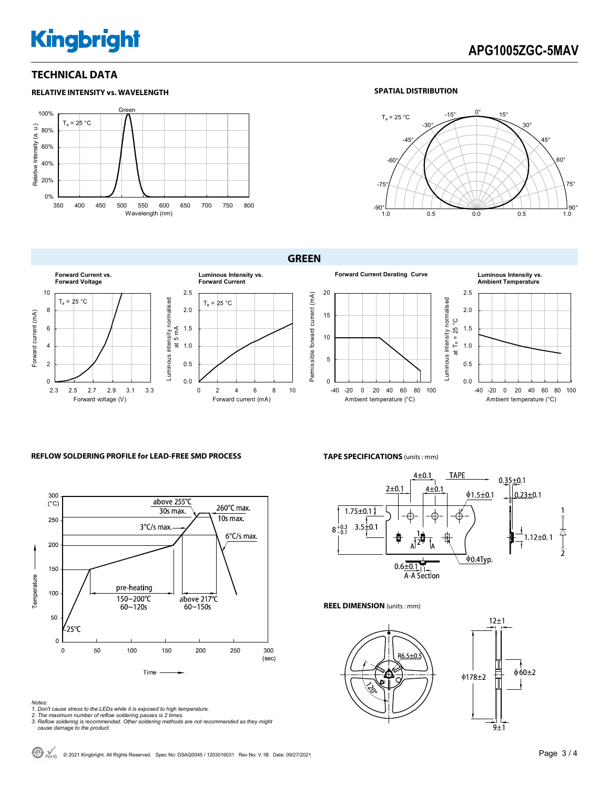# **Kingbright**

**RELATIVE INTENSITY vs. WAVELENGTH**

### **TECHNICAL DATA**

#### Gre 100%  $T_a = 25 °C$ Relative Intensity (a. u.) Relative Intensity (a. u.) 80% 60% 40% 20% 0% 350 400 450 500 550 600 650 700 750 800 Wavelength (nm)

### **SPATIAL DISTRIBUTION**



**GREEN** 



### **REFLOW SOLDERING PROFILE for LEAD-FREE SMD PROCESS <b>TAPE SPECIFICATIONS** (units : mm)



- *Notes: 1. Don't cause stress to the LEDs while it is exposed to high temperature. 2. The maximum number of reflow soldering passes is 2 times.*
- 
- *3. Reflow soldering is recommended. Other soldering methods are not recommended as they might cause damage to the product.*



**REEL DIMENSION** (units : mm)